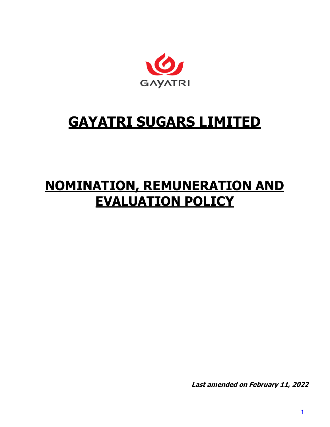

# **GAYATRI SUGARS LIMITED**

# **NOMINATION, REMUNERATION AND EVALUATION POLICY**

**Last amended on February 11, 2022**

1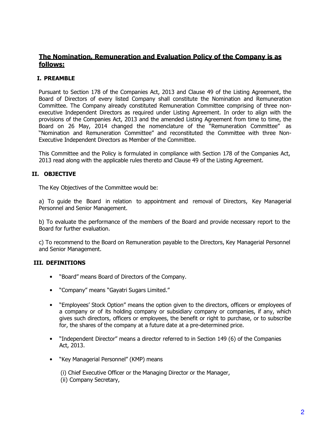# **The Nomination, Remuneration and Evaluation Policy of the Company is as follows:**

# **I. PREAMBLE**

Pursuant to Section 178 of the Companies Act, 2013 and Clause 49 of the Listing Agreement, the Board of Directors of every listed Company shall constitute the Nomination and Remuneration Committee. The Company already constituted Remuneration Committee comprising of three nonexecutive Independent Directors as required under Listing Agreement. In order to align with the provisions of the Companies Act, 2013 and the amended Listing Agreement from time to time, the Board on 26 May, 2014 changed the nomenclature of the "Remuneration Committee" as "Nomination and Remuneration Committee" and reconstituted the Committee with three Non-Executive Independent Directors as Member of the Committee.

This Committee and the Policy is formulated in compliance with Section 178 of the Companies Act, 2013 read along with the applicable rules thereto and Clause 49 of the Listing Agreement.

# **II. OBJECTIVE**

The Key Objectives of the Committee would be:

a) To guide the Board in relation to appointment and removal of Directors, Key Managerial Personnel and Senior Management.

b) To evaluate the performance of the members of the Board and provide necessary report to the Board for further evaluation.

c) To recommend to the Board on Remuneration payable to the Directors, Key Managerial Personnel and Senior Management.

## **III. DEFINITIONS**

- "Board" means Board of Directors of the Company.
- "Company" means "Gayatri Sugars Limited."
- "Employees' Stock Option" means the option given to the directors, officers or employees of a company or of its holding company or subsidiary company or companies, if any, which gives such directors, officers or employees, the benefit or right to purchase, or to subscribe for, the shares of the company at a future date at a pre-determined price.
- "Independent Director" means a director referred to in Section 149 (6) of the Companies Act, 2013.
- "Key Managerial Personnel" (KMP) means

(i) Chief Executive Officer or the Managing Director or the Manager, (ii) Company Secretary,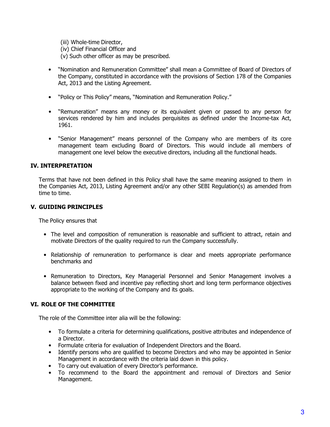- (iii) Whole-time Director,
- (iv) Chief Financial Officer and
- (v) Such other officer as may be prescribed.
- "Nomination and Remuneration Committee" shall mean a Committee of Board of Directors of the Company, constituted in accordance with the provisions of Section 178 of the Companies Act, 2013 and the Listing Agreement.
- "Policy or This Policy" means, "Nomination and Remuneration Policy."
- "Remuneration" means any money or its equivalent given or passed to any person for services rendered by him and includes perquisites as defined under the Income-tax Act, 1961.
- "Senior Management" means personnel of the Company who are members of its core management team excluding Board of Directors. This would include all members of management one level below the executive directors, including all the functional heads.

## **IV. INTERPRETATION**

Terms that have not been defined in this Policy shall have the same meaning assigned to them in the Companies Act, 2013, Listing Agreement and/or any other SEBI Regulation(s) as amended from time to time.

#### **V. GUIDING PRINCIPLES**

The Policy ensures that

- The level and composition of remuneration is reasonable and sufficient to attract, retain and motivate Directors of the quality required to run the Company successfully.
- Relationship of remuneration to performance is clear and meets appropriate performance benchmarks and
- Remuneration to Directors, Key Managerial Personnel and Senior Management involves a balance between fixed and incentive pay reflecting short and long term performance objectives appropriate to the working of the Company and its goals.

## **VI. ROLE OF THE COMMITTEE**

The role of the Committee inter alia will be the following:

- To formulate a criteria for determining qualifications, positive attributes and independence of a Director.
- Formulate criteria for evaluation of Independent Directors and the Board.
- Identify persons who are qualified to become Directors and who may be appointed in Senior Management in accordance with the criteria laid down in this policy.
- To carry out evaluation of every Director's performance.<br>• To recommend to the Board the annointment and
- To recommend to the Board the appointment and removal of Directors and Senior Management.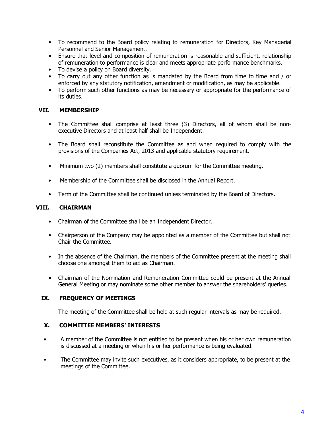- To recommend to the Board policy relating to remuneration for Directors, Key Managerial Personnel and Senior Management.
- Ensure that level and composition of remuneration is reasonable and sufficient, relationship of remuneration to performance is clear and meets appropriate performance benchmarks.
- To devise a policy on Board diversity.
- To carry out any other function as is mandated by the Board from time to time and / or enforced by any statutory notification, amendment or modification, as may be applicable.
- To perform such other functions as may be necessary or appropriate for the performance of its duties.

## **VII. MEMBERSHIP**

- The Committee shall comprise at least three (3) Directors, all of whom shall be nonexecutive Directors and at least half shall be Independent.
- The Board shall reconstitute the Committee as and when required to comply with the provisions of the Companies Act, 2013 and applicable statutory requirement.
- Minimum two (2) members shall constitute a quorum for the Committee meeting.
- Membership of the Committee shall be disclosed in the Annual Report.
- Term of the Committee shall be continued unless terminated by the Board of Directors.

# **VIII. CHAIRMAN**

- Chairman of the Committee shall be an Independent Director.
- Chairperson of the Company may be appointed as a member of the Committee but shall not Chair the Committee.
- In the absence of the Chairman, the members of the Committee present at the meeting shall choose one amongst them to act as Chairman.
- Chairman of the Nomination and Remuneration Committee could be present at the Annual General Meeting or may nominate some other member to answer the shareholders' queries.

# **IX. FREQUENCY OF MEETINGS**

The meeting of the Committee shall be held at such regular intervals as may be required.

## **X. COMMITTEE MEMBERS' INTERESTS**

- A member of the Committee is not entitled to be present when his or her own remuneration is discussed at a meeting or when his or her performance is being evaluated.
- The Committee may invite such executives, as it considers appropriate, to be present at the meetings of the Committee.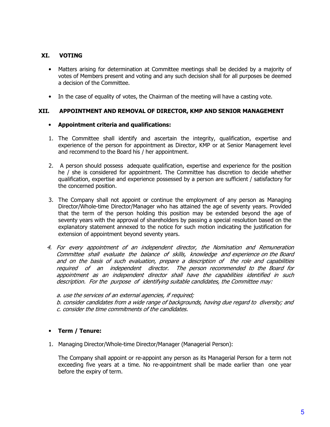## **XI. VOTING**

- Matters arising for determination at Committee meetings shall be decided by a majority of votes of Members present and voting and any such decision shall for all purposes be deemed a decision of the Committee.
- In the case of equality of votes, the Chairman of the meeting will have a casting vote.

## **XII. APPOINTMENT AND REMOVAL OF DIRECTOR, KMP AND SENIOR MANAGEMENT**

#### • **Appointment criteria and qualifications:**

- 1. The Committee shall identify and ascertain the integrity, qualification, expertise and experience of the person for appointment as Director, KMP or at Senior Management level and recommend to the Board his / her appointment.
- 2. A person should possess adequate qualification, expertise and experience for the position he / she is considered for appointment. The Committee has discretion to decide whether qualification, expertise and experience possessed by a person are sufficient / satisfactory for the concerned position.
- 3. The Company shall not appoint or continue the employment of any person as Managing Director/Whole-time Director/Manager who has attained the age of seventy years. Provided that the term of the person holding this position may be extended beyond the age of seventy years with the approval of shareholders by passing a special resolution based on the explanatory statement annexed to the notice for such motion indicating the justification for extension of appointment beyond seventy years.
- 4. For every appointment of an independent director, the Nomination and Remuneration Committee shall evaluate the balance of skills, knowledge and experience on the Board and on the basis of such evaluation, prepare a description of the role and capabilities required of an independent director. The person recommended to the Board for appointment as an independent director shall have the capabilities identified in such description. For the purpose of identifying suitable candidates, the Committee may:

a. use the services of an external agencies, if required;

b. consider candidates from a wide range of backgrounds, having due regard to diversity; and c. consider the time commitments of the candidates.

## • **Term / Tenure:**

1. Managing Director/Whole-time Director/Manager (Managerial Person):

The Company shall appoint or re-appoint any person as its Managerial Person for a term not exceeding five years at a time. No re-appointment shall be made earlier than one year before the expiry of term.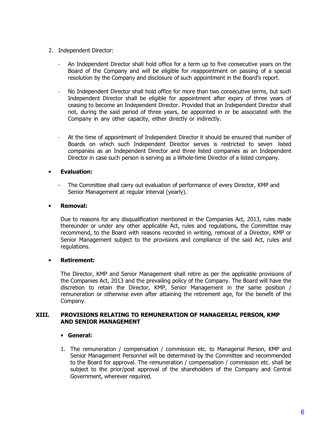- 2. Independent Director:
	- An Independent Director shall hold office for a term up to five consecutive years on the Board of the Company and will be eligible for reappointment on passing of a special resolution by the Company and disclosure of such appointment in the Board's report.
	- No Independent Director shall hold office for more than two consecutive terms, but such Independent Director shall be eligible for appointment after expiry of three years of ceasing to become an Independent Director. Provided that an Independent Director shall not, during the said period of three years, be appointed in or be associated with the Company in any other capacity, either directly or indirectly.
	- At the time of appointment of Independent Director it should be ensured that number of Boards on which such Independent Director serves is restricted to seven listed companies as an Independent Director and three listed companies as an Independent Director in case such person is serving as a Whole-time Director of a listed company.

## • **Evaluation:**

- The Committee shall carry out evaluation of performance of every Director, KMP and Senior Management at regular interval (yearly).

#### • **Removal:**

Due to reasons for any disqualification mentioned in the Companies Act, 2013, rules made thereunder or under any other applicable Act, rules and regulations, the Committee may recommend, to the Board with reasons recorded in writing, removal of a Director, KMP or Senior Management subject to the provisions and compliance of the said Act, rules and regulations.

#### • **Retirement:**

The Director, KMP and Senior Management shall retire as per the applicable provisions of the Companies Act, 2013 and the prevailing policy of the Company. The Board will have the discretion to retain the Director, KMP, Senior Management in the same position / remuneration or otherwise even after attaining the retirement age, for the benefit of the Company.

#### **XIII. PROVISIONS RELATING TO REMUNERATION OF MANAGERIAL PERSON, KMP AND SENIOR MANAGEMENT**

#### • **General:**

1. The remuneration / compensation / commission etc. to Managerial Person, KMP and Senior Management Personnel will be determined by the Committee and recommended to the Board for approval. The remuneration / compensation / commission etc. shall be subject to the prior/post approval of the shareholders of the Company and Central Government, wherever required.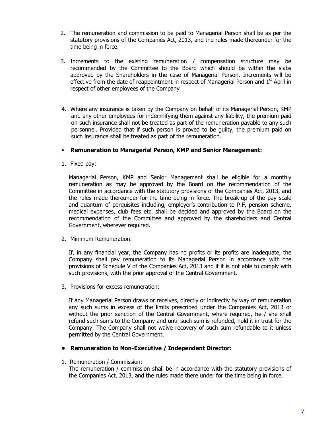- 2. The remuneration and commission to be paid to Managerial Person shall be as per the statutory provisions of the Companies Act, 2013, and the rules made thereunder for the time being in force.
- 3. Increments to the existing remuneration / compensation structure may be recommended by the Committee to the Board which should be within the slabs approved by the Shareholders in the case of Managerial Person. Increments will be effective from the date of reappointment in respect of Managerial Person and  $1<sup>st</sup>$  April in respect of other employees of the Company
- 4. Where any insurance is taken by the Company on behalf of its Managerial Person, KMP and any other employees for indemnifying them against any liability, the premium paid on such insurance shall not be treated as part of the remuneration payable to any such personnel. Provided that if such person is proved to be guilty, the premium paid on such insurance shall be treated as part of the remuneration.

## • **Remuneration to Managerial Person, KMP and Senior Management:**

1. Fixed pay:

Managerial Person, KMP and Senior Management shall be eligible for a monthly remuneration as may be approved by the Board on the recommendation of the Committee in accordance with the statutory provisions of the Companies Act, 2013, and the rules made thereunder for the time being in force. The break-up of the pay scale and quantum of perquisites including, employer's contribution to P.F, pension scheme, medical expenses, club fees etc. shall be decided and approved by the Board on the recommendation of the Committee and approved by the shareholders and Central Government, wherever required.

2. Minimum Remuneration:

If, in any financial year, the Company has no profits or its profits are inadequate, the Company shall pay remuneration to its Managerial Person in accordance with the provisions of Schedule V of the Companies Act, 2013 and if it is not able to comply with such provisions, with the prior approval of the Central Government.

3. Provisions for excess remuneration:

If any Managerial Person draws or receives, directly or indirectly by way of remuneration any such sums in excess of the limits prescribed under the Companies Act, 2013 or without the prior sanction of the Central Government, where required, he / she shall refund such sums to the Company and until such sum is refunded, hold it in trust for the Company. The Company shall not waive recovery of such sum refundable to it unless permitted by the Central Government.

## **• Remuneration to Non-Executive / Independent Director:**

1. Remuneration / Commission:

The remuneration / commission shall be in accordance with the statutory provisions of the Companies Act, 2013, and the rules made there under for the time being in force.